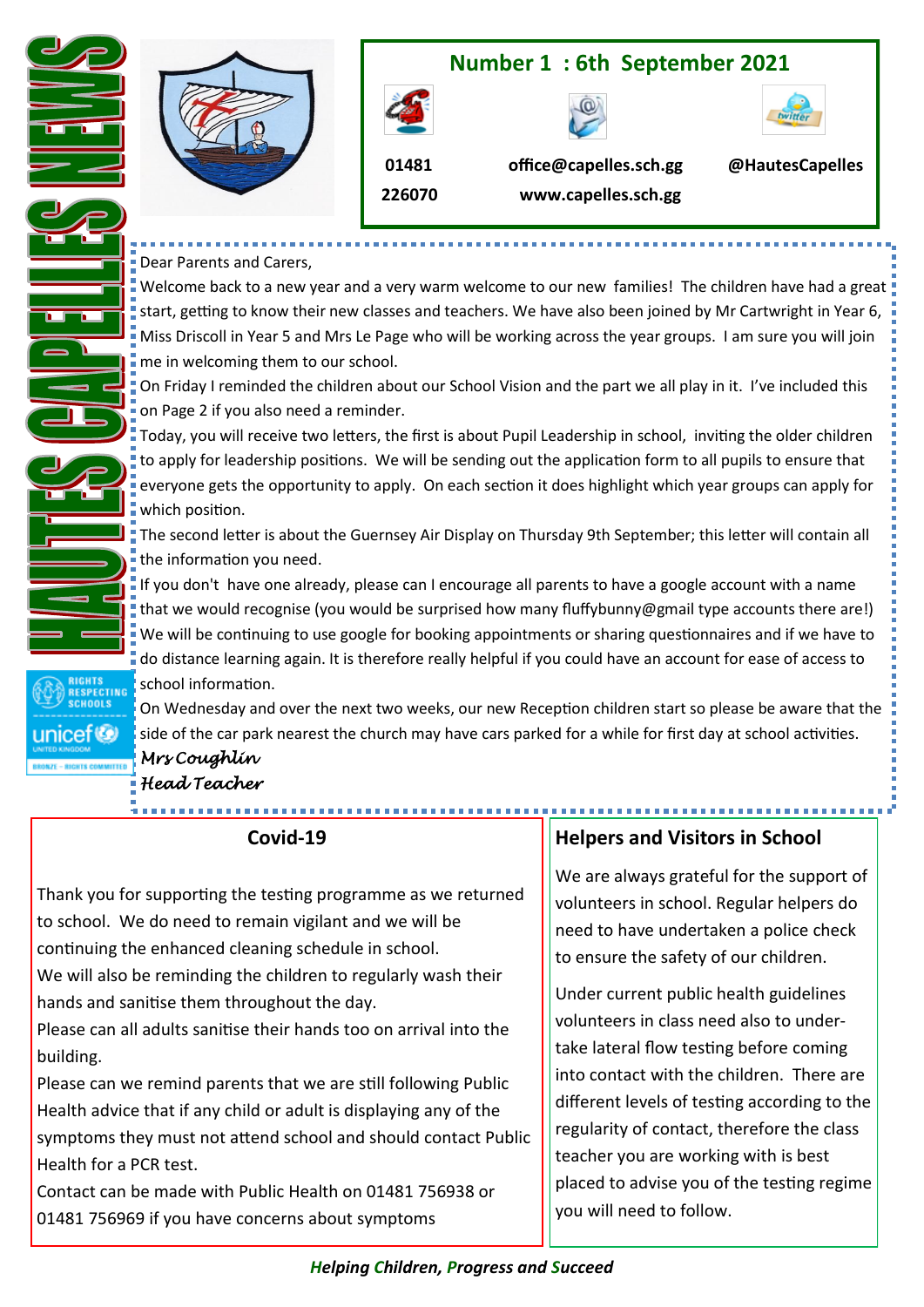

Dear Parents and Carers,

Welcome back to a new year and a very warm welcome to our new families! The children have had a great start, getting to know their new classes and teachers. We have also been joined by Mr Cartwright in Year 6, Miss Driscoll in Year 5 and Mrs Le Page who will be working across the year groups. I am sure you will join **F** me in welcoming them to our school.

On Friday I reminded the children about our School Vision and the part we all play in it. I've included this on Page 2 if you also need a reminder.

Today, you will receive two letters, the first is about Pupil Leadership in school, inviting the older children to apply for leadership positions. We will be sending out the application form to all pupils to ensure that everyone gets the opportunity to apply. On each section it does highlight which year groups can apply for which position.

The second letter is about the Guernsey Air Display on Thursday 9th September; this letter will contain all the information you need.

If you don't have one already, please can I encourage all parents to have a google account with a name that we would recognise (you would be surprised how many fluffybunny@gmail type accounts there are!) We will be continuing to use google for booking appointments or sharing questionnaires and if we have to do distance learning again. It is therefore really helpful if you could have an account for ease of access to school information.

On Wednesday and over the next two weeks, our new Reception children start so please be aware that the side of the car park nearest the church may have cars parked for a while for first day at school activities.

*Mrs Coughlin Head Teacher* 

o<br>Ctine

unicef<sup>®</sup>

# **Covid-19**

Thank you for supporting the testing programme as we returned to school. We do need to remain vigilant and we will be continuing the enhanced cleaning schedule in school.

We will also be reminding the children to regularly wash their hands and sanitise them throughout the day.

Please can all adults sanitise their hands too on arrival into the building.

Please can we remind parents that we are still following Public Health advice that if any child or adult is displaying any of the symptoms they must not attend school and should contact Public Health for a PCR test.

Contact can be made with Public Health on 01481 756938 or 01481 756969 if you have concerns about symptoms

# **Helpers and Visitors in School**

We are always grateful for the support of volunteers in school. Regular helpers do need to have undertaken a police check to ensure the safety of our children.

Under current public health guidelines volunteers in class need also to undertake lateral flow testing before coming into contact with the children. There are different levels of testing according to the regularity of contact, therefore the class teacher you are working with is best placed to advise you of the testing regime you will need to follow.